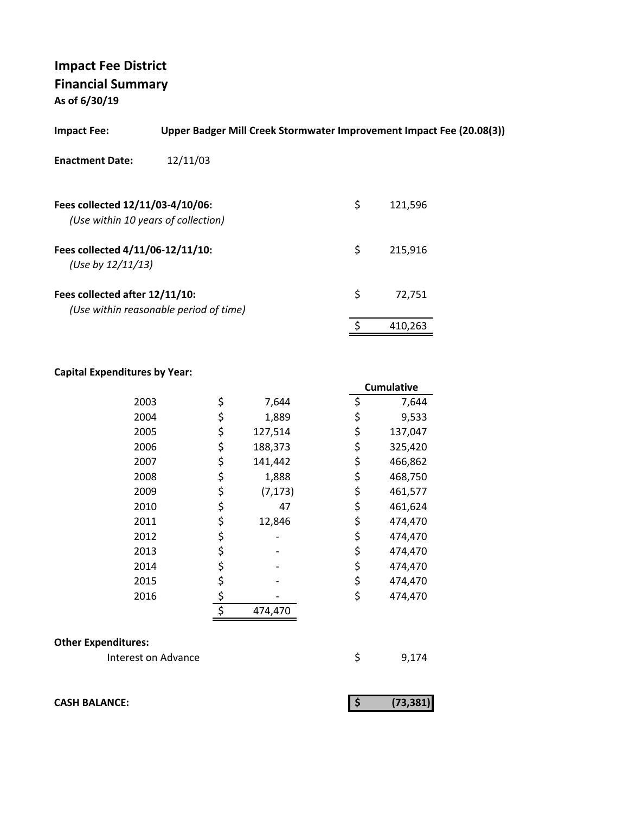| <b>Impact Fee:</b>                                                      | Upper Badger Mill Creek Stormwater Improvement Impact Fee (20.08(3)) |               |  |
|-------------------------------------------------------------------------|----------------------------------------------------------------------|---------------|--|
| <b>Enactment Date:</b>                                                  | 12/11/03                                                             |               |  |
| Fees collected 12/11/03-4/10/06:<br>(Use within 10 years of collection) |                                                                      | \$<br>121,596 |  |
| Fees collected 4/11/06-12/11/10:<br>(Use by $12/11/13$ )                |                                                                      | \$<br>215,916 |  |
| Fees collected after 12/11/10:                                          | (Use within reasonable period of time)                               | \$<br>72.751  |  |
|                                                                         |                                                                      | \$<br>410,263 |  |

## **Capital Expenditures by Year:**

|      |                | <b>Cumulative</b> |
|------|----------------|-------------------|
| 2003 | \$<br>7,644    | \$<br>7,644       |
| 2004 | \$<br>1,889    | \$<br>9,533       |
| 2005 | \$<br>127,514  | \$<br>137,047     |
| 2006 | \$<br>188,373  | \$<br>325,420     |
| 2007 | \$<br>141,442  | \$<br>466,862     |
| 2008 | \$<br>1,888    | \$<br>468,750     |
| 2009 | \$<br>(7, 173) | \$<br>461,577     |
| 2010 | \$<br>47       | \$<br>461,624     |
| 2011 | \$<br>12,846   | \$<br>474,470     |
| 2012 | \$             | \$<br>474,470     |
| 2013 | \$             | \$<br>474,470     |
| 2014 | \$             | \$<br>474,470     |
| 2015 | \$             | \$<br>474,470     |
| 2016 | \$             | \$<br>474,470     |
|      | \$<br>474,470  |                   |

## **Other Expenditures:**

| Interest on Advance |  | 9,174 |
|---------------------|--|-------|
|---------------------|--|-------|

**CASH BALANCE: (73,381) \$** 

| (73, 381) |
|-----------|
|           |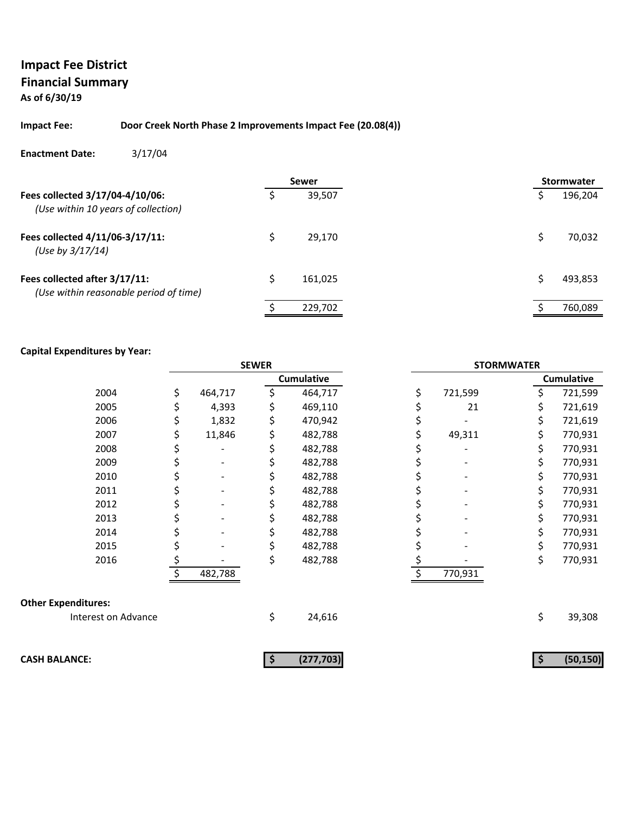## **Impact Fee District Financial Summary**

**As of 6/30/19**

#### **Impact Fee: Door Creek North Phase 2 Improvements Impact Fee (20.08(4))**

#### **Enactment Date:** 3/17/04

|                                                                         |   | Sewer   | <b>Stormwater</b> |
|-------------------------------------------------------------------------|---|---------|-------------------|
| Fees collected 3/17/04-4/10/06:<br>(Use within 10 years of collection)  |   | 39,507  | 196,204           |
| Fees collected 4/11/06-3/17/11:<br>(Use by $3/17/14$ )                  | Ś | 29.170  | 70,032            |
| Fees collected after 3/17/11:<br>(Use within reasonable period of time) | Ś | 161,025 | 493,853           |
|                                                                         |   | 229,702 | 760,089           |

|                            | <b>SEWER</b> |         |    | <b>STORMWATER</b> |    |         |    |                   |
|----------------------------|--------------|---------|----|-------------------|----|---------|----|-------------------|
|                            |              |         |    | <b>Cumulative</b> |    |         |    | <b>Cumulative</b> |
| 2004                       | \$           | 464,717 |    | 464,717           | \$ | 721,599 | \$ | 721,599           |
| 2005                       | \$           | 4,393   | \$ | 469,110           |    | 21      | \$ | 721,619           |
| 2006                       | \$           | 1,832   |    | 470,942           |    |         | \$ | 721,619           |
| 2007                       |              | 11,846  | \$ | 482,788           |    | 49,311  | \$ | 770,931           |
| 2008                       |              |         |    | 482,788           |    |         | \$ | 770,931           |
| 2009                       |              |         |    | 482,788           |    |         | \$ | 770,931           |
| 2010                       |              |         | \$ | 482,788           |    |         | \$ | 770,931           |
| 2011                       |              |         |    | 482,788           |    |         | \$ | 770,931           |
| 2012                       |              |         |    | 482,788           |    |         | \$ | 770,931           |
| 2013                       |              |         | \$ | 482,788           |    |         | \$ | 770,931           |
| 2014                       |              |         |    | 482,788           |    |         | \$ | 770,931           |
| 2015                       |              |         |    | 482,788           |    |         | \$ | 770,931           |
| 2016                       |              |         | \$ | 482,788           |    |         | \$ | 770,931           |
|                            |              | 482,788 |    |                   |    | 770,931 |    |                   |
| <b>Other Expenditures:</b> |              |         |    |                   |    |         |    |                   |
| Interest on Advance        |              |         | \$ | 24,616            |    |         | \$ | 39,308            |
|                            |              |         |    |                   |    |         |    |                   |
| <b>CASH BALANCE:</b>       |              |         | \$ | (277, 703)        |    |         | \$ | (50, 150)         |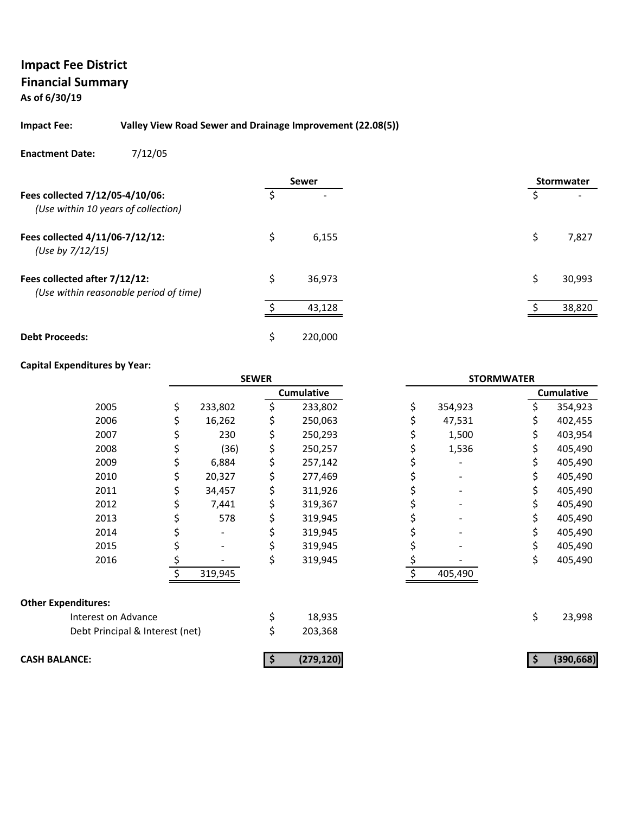# **Impact Fee District Financial Summary**

**As of 6/30/19**

#### **Impact Fee: Valley View Road Sewer and Drainage Improvement (22.08(5))**

**Enactment Date:** 7/12/05

|                                                                         |   | <b>Sewer</b> |  |    | <b>Stormwater</b> |
|-------------------------------------------------------------------------|---|--------------|--|----|-------------------|
| Fees collected 7/12/05-4/10/06:<br>(Use within 10 years of collection)  |   |              |  | \$ |                   |
| Fees collected 4/11/06-7/12/12:<br>(Use by 7/12/15)                     | Ś | 6,155        |  | Ś  | 7,827             |
| Fees collected after 7/12/12:<br>(Use within reasonable period of time) | Ś | 36,973       |  | Ś  | 30,993            |
|                                                                         |   | 43,128       |  |    | 38,820            |
| <b>Debt Proceeds:</b>                                                   | Ś | 220,000      |  |    |                   |

|                                 | <b>SEWER</b> |                          |    | <b>STORMWATER</b> |    |         |     |                   |
|---------------------------------|--------------|--------------------------|----|-------------------|----|---------|-----|-------------------|
|                                 |              |                          |    | <b>Cumulative</b> |    |         |     | <b>Cumulative</b> |
| 2005                            | \$           | 233,802                  | \$ | 233,802           | \$ | 354,923 | Ś.  | 354,923           |
| 2006                            |              | 16,262                   | \$ | 250,063           |    | 47,531  |     | 402,455           |
| 2007                            | Ş            | 230                      | \$ | 250,293           |    | 1,500   | \$  | 403,954           |
| 2008                            | \$           | (36)                     | \$ | 250,257           |    | 1,536   | \$  | 405,490           |
| 2009                            | \$           | 6,884                    | \$ | 257,142           |    |         | S.  | 405,490           |
| 2010                            |              | 20,327                   | \$ | 277,469           |    |         |     | 405,490           |
| 2011                            | \$           | 34,457                   | \$ | 311,926           |    |         | \$. | 405,490           |
| 2012                            | \$           | 7,441                    | \$ | 319,367           |    |         | \$. | 405,490           |
| 2013                            | Ş            | 578                      | \$ | 319,945           |    |         | S   | 405,490           |
| 2014                            |              | $\overline{\phantom{0}}$ |    | 319,945           |    |         |     | 405,490           |
| 2015                            |              |                          | \$ | 319,945           |    |         | \$  | 405,490           |
| 2016                            | \$           |                          | \$ | 319,945           |    |         | \$  | 405,490           |
|                                 |              | 319,945                  |    |                   |    | 405,490 |     |                   |
| <b>Other Expenditures:</b>      |              |                          |    |                   |    |         |     |                   |
| Interest on Advance             |              |                          | \$ | 18,935            |    |         | \$  | 23,998            |
| Debt Principal & Interest (net) |              |                          | \$ | 203,368           |    |         |     |                   |
| <b>CASH BALANCE:</b>            |              |                          |    | (279, 120)        |    |         |     | (390, 668)        |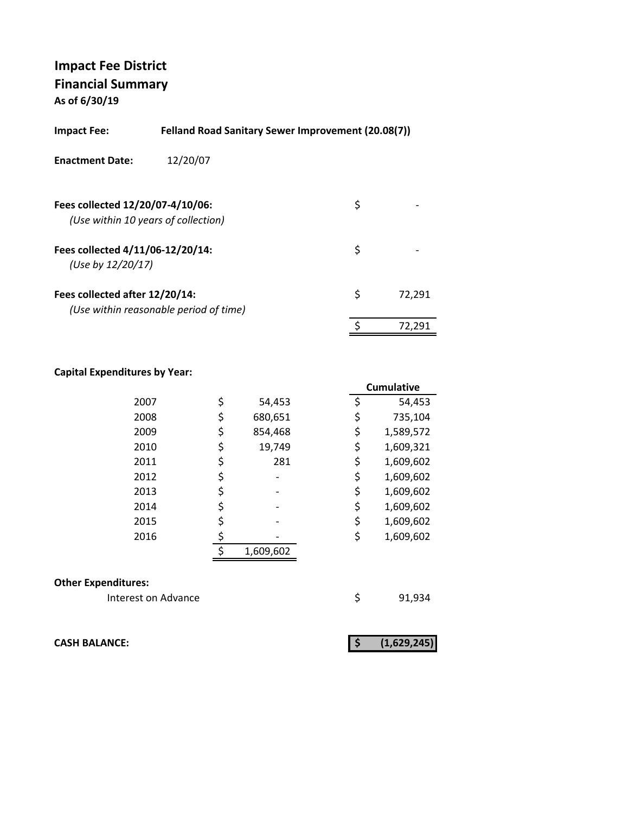| Felland Road Sanitary Sewer Improvement (20.08(7))<br>Impact Fee: |                                        |    |        |  |
|-------------------------------------------------------------------|----------------------------------------|----|--------|--|
| <b>Enactment Date:</b>                                            | 12/20/07                               |    |        |  |
| Fees collected 12/20/07-4/10/06:                                  | (Use within 10 years of collection)    | \$ |        |  |
| Fees collected 4/11/06-12/20/14:<br>(Use by 12/20/17)             |                                        | \$ |        |  |
| Fees collected after 12/20/14:                                    | (Use within reasonable period of time) | \$ | 72.291 |  |
|                                                                   |                                        | \$ | 72.291 |  |

## **Capital Expenditures by Year:**

|      |               |    | <b>Cumulative</b> |
|------|---------------|----|-------------------|
| 2007 | \$<br>54,453  | \$ | 54,453            |
| 2008 | \$<br>680,651 | \$ | 735,104           |
| 2009 | \$<br>854,468 | \$ | 1,589,572         |
| 2010 | \$<br>19,749  | \$ | 1,609,321         |
| 2011 | \$<br>281     | \$ | 1,609,602         |
| 2012 |               | \$ | 1,609,602         |
| 2013 | \$            | \$ | 1,609,602         |
| 2014 | \$            | \$ | 1,609,602         |
| 2015 |               | \$ | 1,609,602         |
| 2016 |               | \$ | 1,609,602         |
|      | 1,609,602     |    |                   |
|      |               |    |                   |

#### **Other Expenditures:**

Interest on Advance **1920** \$91,934

**CASH BALANCE: (1,629,245) \$**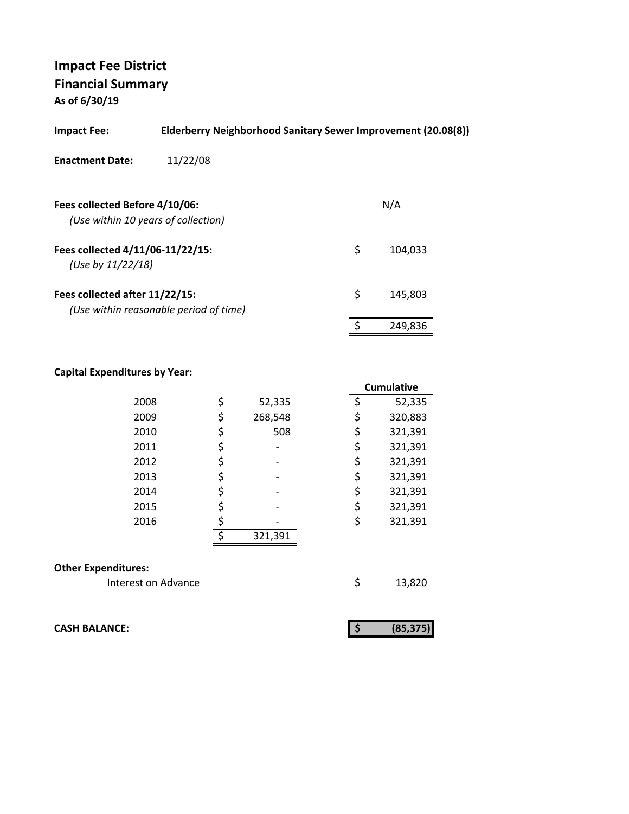| <b>Impact Fee:</b>                                                    | Elderberry Neighborhood Sanitary Sewer Improvement (20.08(8)) |               |
|-----------------------------------------------------------------------|---------------------------------------------------------------|---------------|
| <b>Enactment Date:</b>                                                | 11/22/08                                                      |               |
| Fees collected Before 4/10/06:<br>(Use within 10 years of collection) |                                                               | N/A           |
| Fees collected 4/11/06-11/22/15:<br>(Use by 11/22/18)                 |                                                               | \$<br>104.033 |
| Fees collected after 11/22/15:                                        | (Use within reasonable period of time)                        | \$<br>145,803 |
|                                                                       |                                                               | 249,836       |

#### **Capital Expenditures by Year:**

|                            |    |         | <b>Cumulative</b> |
|----------------------------|----|---------|-------------------|
| 2008                       | \$ | 52,335  | \$<br>52,335      |
| 2009                       | \$ | 268,548 | \$<br>320,883     |
| 2010                       | \$ | 508     | \$<br>321,391     |
| 2011                       | \$ |         | \$<br>321,391     |
| 2012                       | \$ |         | \$<br>321,391     |
| 2013                       | \$ |         | \$<br>321,391     |
| 2014                       | \$ |         | \$<br>321,391     |
| 2015                       | \$ |         | \$<br>321,391     |
| 2016                       | \$ |         | \$<br>321,391     |
|                            | ¢  | 321,391 |                   |
|                            |    |         |                   |
| <b>Other Expenditures:</b> |    |         |                   |
| Interest on Advance        |    |         | \$<br>13,820      |

**CASH BALANCE:** 

|--|--|--|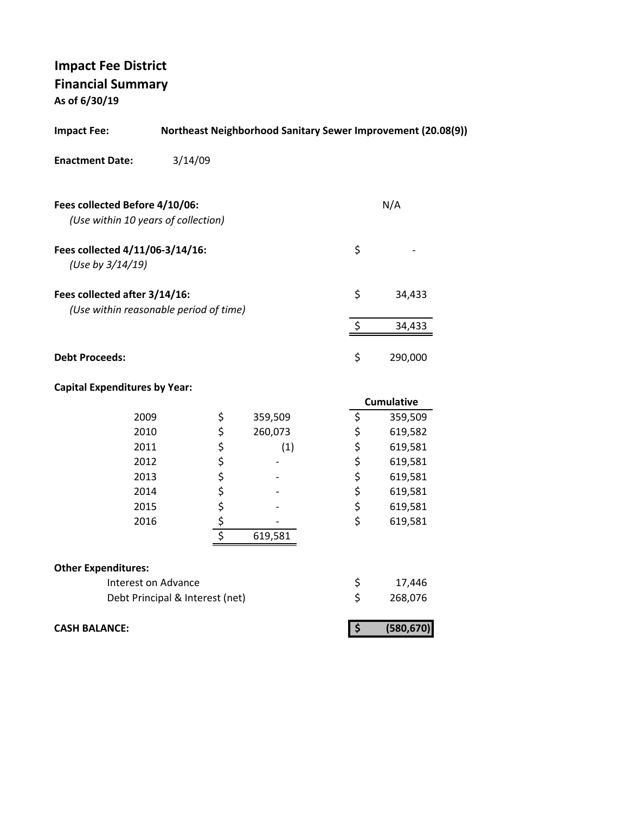| <b>Impact Fee:</b>                                                      |                                 |            |         |                               |               | Northeast Neighborhood Sanitary Sewer Improvement (20.08(9)) |
|-------------------------------------------------------------------------|---------------------------------|------------|---------|-------------------------------|---------------|--------------------------------------------------------------|
| <b>Enactment Date:</b>                                                  | 3/14/09                         |            |         |                               |               |                                                              |
| Fees collected Before 4/10/06:<br>(Use within 10 years of collection)   |                                 |            |         |                               |               | N/A                                                          |
| Fees collected 4/11/06-3/14/16:<br>(Use by 3/14/19)                     |                                 |            |         |                               | \$            |                                                              |
| Fees collected after 3/14/16:<br>(Use within reasonable period of time) |                                 |            |         |                               | \$            | 34,433                                                       |
|                                                                         |                                 |            |         | \$                            |               | 34,433                                                       |
| <b>Debt Proceeds:</b>                                                   |                                 |            |         |                               | \$            | 290,000                                                      |
| <b>Capital Expenditures by Year:</b>                                    |                                 |            |         |                               |               |                                                              |
|                                                                         |                                 |            |         |                               |               | <b>Cumulative</b>                                            |
| 2009                                                                    |                                 | \$         | 359,509 | \$                            |               | 359,509                                                      |
| 2010                                                                    |                                 | \$         | 260,073 |                               | \$            | 619,582                                                      |
| 2011                                                                    |                                 | \$         | (1)     | \$                            |               | 619,581                                                      |
| 2012                                                                    |                                 |            |         |                               | \$            | 619,581                                                      |
| 2013                                                                    |                                 |            |         |                               | \$            | 619,581                                                      |
| 2014                                                                    |                                 |            |         |                               | $\frac{1}{5}$ | 619,581                                                      |
| 2015                                                                    |                                 |            |         | \$                            |               | 619,581                                                      |
| 2016                                                                    |                                 | \$\$\$\$\$ |         | \$                            |               | 619,581                                                      |
|                                                                         |                                 |            | 619,581 |                               |               |                                                              |
| <b>Other Expenditures:</b>                                              |                                 |            |         |                               |               |                                                              |
|                                                                         | Interest on Advance             |            |         |                               | \$            | 17,446                                                       |
|                                                                         | Debt Principal & Interest (net) |            |         | \$                            |               | 268,076                                                      |
| <b>CASH BALANCE:</b>                                                    |                                 |            |         | $\overline{\boldsymbol{\xi}}$ |               | (580, 670)                                                   |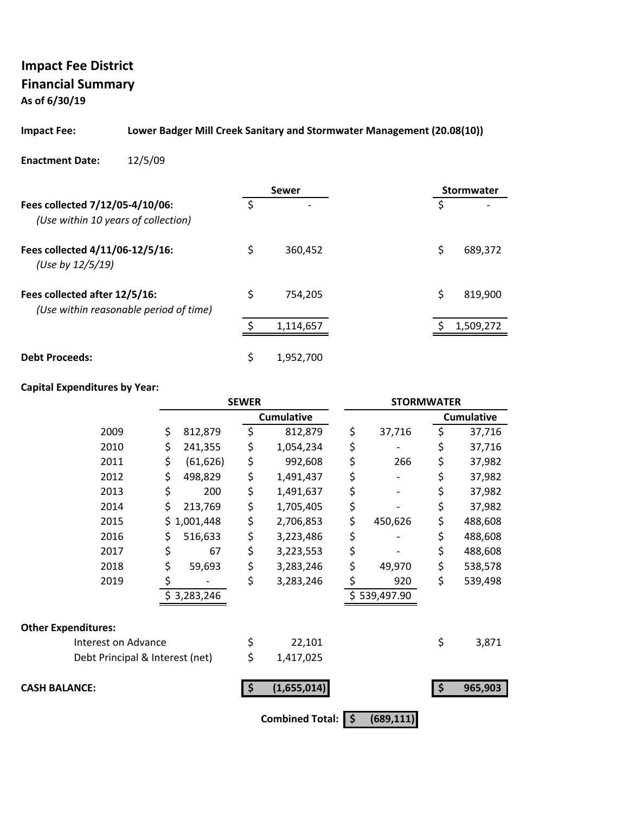# **Impact Fee District Financial Summary**

**As of 6/30/19**

## **Impact Fee: Lower Badger Mill Creek Sanitary and Stormwater Management (20.08(10))**

#### **Enactment Date:** 12/5/09

|                                                                         |    | Sewer                    |    | Stormwater |
|-------------------------------------------------------------------------|----|--------------------------|----|------------|
| Fees collected 7/12/05-4/10/06:<br>(Use within 10 years of collection)  | Ś  | $\overline{\phantom{0}}$ | \$ |            |
| Fees collected 4/11/06-12/5/16:<br>(Use by 12/5/19)                     | \$ | 360,452                  | \$ | 689,372    |
| Fees collected after 12/5/16:<br>(Use within reasonable period of time) | \$ | 754.205                  | \$ | 819,900    |
|                                                                         |    | 1,114,657                |    | 1,509,272  |
| <b>Debt Proceeds:</b>                                                   | \$ | 1,952,700                |    |            |

|                                 | <b>SEWER</b> |             | <b>STORMWATER</b> |                        |     |              |     |                   |
|---------------------------------|--------------|-------------|-------------------|------------------------|-----|--------------|-----|-------------------|
|                                 |              |             |                   | <b>Cumulative</b>      |     |              |     | <b>Cumulative</b> |
| 2009                            | \$           | 812,879     | \$                | 812,879                | \$  | 37,716       | \$  | 37,716            |
| 2010                            | \$           | 241,355     | \$                | 1,054,234              | \$  |              | \$  | 37,716            |
| 2011                            | \$           | (61, 626)   | \$                | 992,608                | \$  | 266          | \$  | 37,982            |
| 2012                            | \$           | 498,829     | \$                | 1,491,437              | \$  |              | \$  | 37,982            |
| 2013                            | \$           | 200         | \$                | 1,491,637              | \$  |              | \$  | 37,982            |
| 2014                            | \$           | 213,769     | \$                | 1,705,405              | \$  |              | \$  | 37,982            |
| 2015                            |              | \$1,001,448 | \$                | 2,706,853              | \$  | 450,626      | \$  | 488,608           |
| 2016                            | \$           | 516,633     | \$                | 3,223,486              | \$  |              | \$  | 488,608           |
| 2017                            | \$           | 67          | \$                | 3,223,553              | \$  |              | \$  | 488,608           |
| 2018                            | \$           | 59,693      | \$                | 3,283,246              | \$  | 49,970       | \$  | 538,578           |
| 2019                            |              |             | \$                | 3,283,246              | \$  | 920          | \$  | 539,498           |
|                                 |              | \$3,283,246 |                   |                        |     | \$539,497.90 |     |                   |
| <b>Other Expenditures:</b>      |              |             |                   |                        |     |              |     |                   |
| Interest on Advance             |              |             | \$                | 22,101                 |     |              | \$  | 3,871             |
| Debt Principal & Interest (net) |              |             | \$                | 1,417,025              |     |              |     |                   |
| <b>CASH BALANCE:</b>            |              |             | -\$               | (1,655,014)            |     |              | -\$ | 965,903           |
|                                 |              |             |                   | <b>Combined Total:</b> | -\$ | (689, 111)   |     |                   |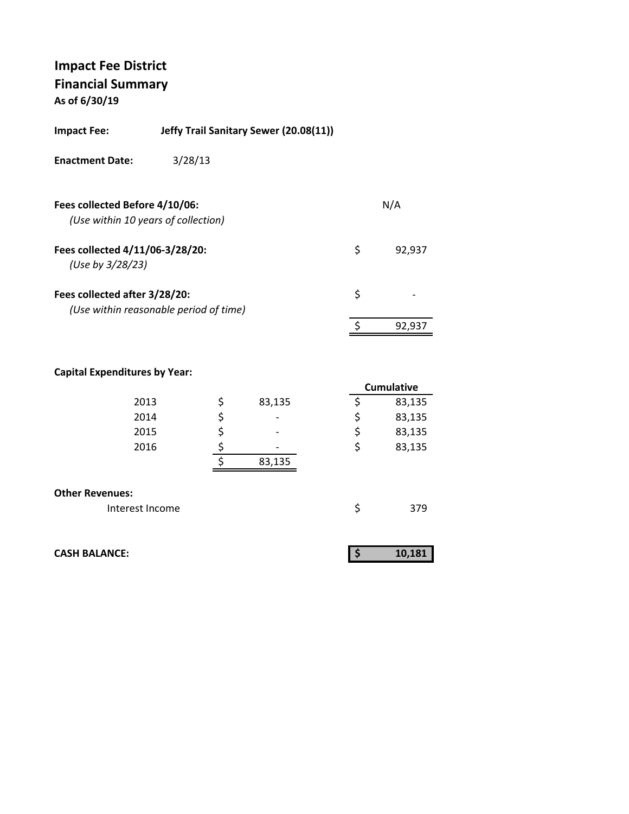| Impact Fee:                                         | Jeffy Trail Sanitary Sewer (20.08(11)) |    |        |
|-----------------------------------------------------|----------------------------------------|----|--------|
| <b>Enactment Date:</b>                              | 3/28/13                                |    |        |
| Fees collected Before 4/10/06:                      | (Use within 10 years of collection)    |    | N/A    |
| Fees collected 4/11/06-3/28/20:<br>(Use by 3/28/23) |                                        | Ş  | 92,937 |
| Fees collected after 3/28/20:                       | (Use within reasonable period of time) | \$ |        |
|                                                     |                                        | \$ | 92.937 |

|                        |              | <b>Cumulative</b> |
|------------------------|--------------|-------------------|
| 2013                   | \$<br>83,135 | 83,135            |
| 2014                   | \$           | \$<br>83,135      |
| 2015                   |              | \$<br>83,135      |
| 2016                   |              | \$<br>83,135      |
|                        | 83,135       |                   |
|                        |              |                   |
| <b>Other Revenues:</b> |              |                   |
| Interest Income        |              | \$<br>379         |

| <b>CASH BALANCE:</b> |  | 10,181 |
|----------------------|--|--------|
|                      |  |        |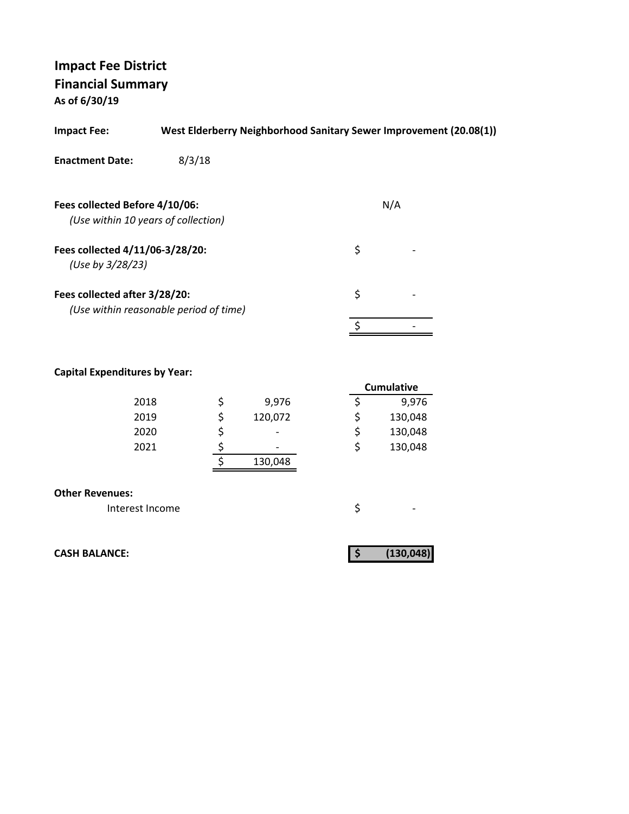| <b>Impact Fee:</b>                                                    | West Elderberry Neighborhood Sanitary Sewer Improvement (20.08(1)) |          |     |
|-----------------------------------------------------------------------|--------------------------------------------------------------------|----------|-----|
| <b>Enactment Date:</b>                                                | 8/3/18                                                             |          |     |
| Fees collected Before 4/10/06:<br>(Use within 10 years of collection) |                                                                    |          | N/A |
| Fees collected 4/11/06-3/28/20:<br>(Use by 3/28/23)                   |                                                                    | \$       |     |
| Fees collected after 3/28/20:                                         | (Use within reasonable period of time)                             | \$       |     |
|                                                                       |                                                                    |          |     |
| <b>Capital Expenditures by Year:</b>                                  |                                                                    | $C_{i1}$ |     |

|      |         | <b>Cumulative</b> |
|------|---------|-------------------|
| 2018 | 9,976   | 9,976             |
| 2019 | 120,072 | 130,048           |
| 2020 | -       | \$<br>130,048     |
| 2021 | -       | \$<br>130,048     |
|      | 130,048 |                   |
|      |         |                   |

| <b>Other Revenues:</b> |  |  |  |
|------------------------|--|--|--|
|                        |  |  |  |

Interest Income  $\zeta$ 

**CASH BALANCE: (130,048) \$**